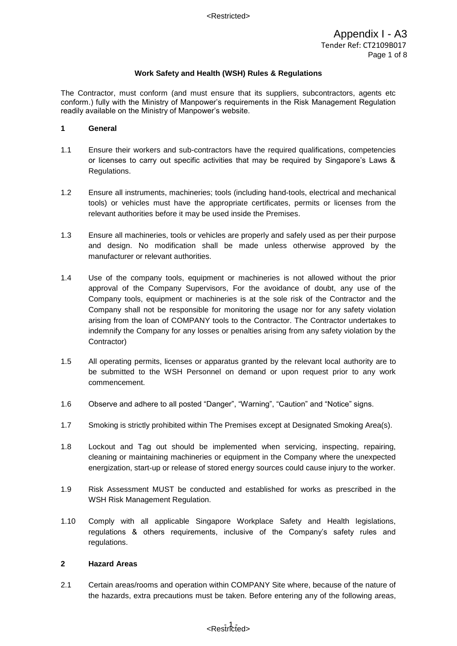The Contractor, must conform (and must ensure that its suppliers, subcontractors, agents etc conform.) fully with the Ministry of Manpower's requirements in the Risk Management Regulation readily available on the Ministry of Manpower's website.

#### **1 General**

- 1.1 Ensure their workers and sub-contractors have the required qualifications, competencies or licenses to carry out specific activities that may be required by Singapore's Laws & Regulations.
- 1.2 Ensure all instruments, machineries; tools (including hand-tools, electrical and mechanical tools) or vehicles must have the appropriate certificates, permits or licenses from the relevant authorities before it may be used inside the Premises.
- 1.3 Ensure all machineries, tools or vehicles are properly and safely used as per their purpose and design. No modification shall be made unless otherwise approved by the manufacturer or relevant authorities.
- 1.4 Use of the company tools, equipment or machineries is not allowed without the prior approval of the Company Supervisors, For the avoidance of doubt, any use of the Company tools, equipment or machineries is at the sole risk of the Contractor and the Company shall not be responsible for monitoring the usage nor for any safety violation arising from the loan of COMPANY tools to the Contractor. The Contractor undertakes to indemnify the Company for any losses or penalties arising from any safety violation by the Contractor)
- 1.5 All operating permits, licenses or apparatus granted by the relevant local authority are to be submitted to the WSH Personnel on demand or upon request prior to any work commencement.
- 1.6 Observe and adhere to all posted "Danger", "Warning", "Caution" and "Notice" signs.
- 1.7 Smoking is strictly prohibited within The Premises except at Designated Smoking Area(s).
- 1.8 Lockout and Tag out should be implemented when servicing, inspecting, repairing, cleaning or maintaining machineries or equipment in the Company where the unexpected energization, start-up or release of stored energy sources could cause injury to the worker.
- 1.9 Risk Assessment MUST be conducted and established for works as prescribed in the WSH Risk Management Regulation.
- 1.10 Comply with all applicable Singapore Workplace Safety and Health legislations, regulations & others requirements, inclusive of the Company's safety rules and regulations.

#### **2 Hazard Areas**

2.1 Certain areas/rooms and operation within COMPANY Site where, because of the nature of the hazards, extra precautions must be taken. Before entering any of the following areas,

# - 1 - <Restricted>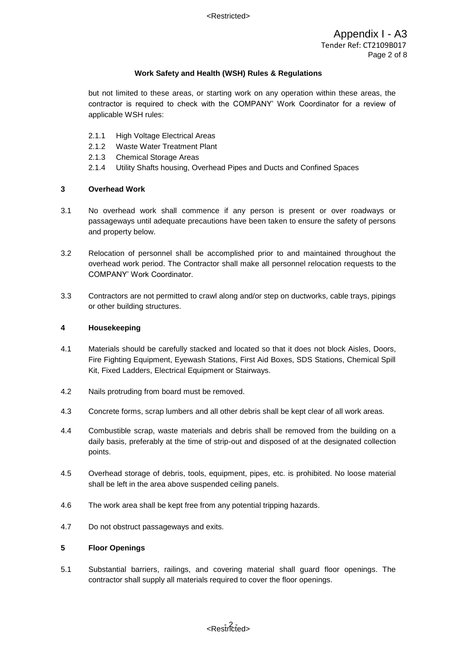but not limited to these areas, or starting work on any operation within these areas, the contractor is required to check with the COMPANY' Work Coordinator for a review of applicable WSH rules:

- 2.1.1 High Voltage Electrical Areas
- 2.1.2 Waste Water Treatment Plant
- 2.1.3 Chemical Storage Areas
- 2.1.4 Utility Shafts housing, Overhead Pipes and Ducts and Confined Spaces

## **3 Overhead Work**

- 3.1 No overhead work shall commence if any person is present or over roadways or passageways until adequate precautions have been taken to ensure the safety of persons and property below.
- 3.2 Relocation of personnel shall be accomplished prior to and maintained throughout the overhead work period. The Contractor shall make all personnel relocation requests to the COMPANY' Work Coordinator.
- 3.3 Contractors are not permitted to crawl along and/or step on ductworks, cable trays, pipings or other building structures.

## **4 Housekeeping**

- 4.1 Materials should be carefully stacked and located so that it does not block Aisles, Doors, Fire Fighting Equipment, Eyewash Stations, First Aid Boxes, SDS Stations, Chemical Spill Kit, Fixed Ladders, Electrical Equipment or Stairways.
- 4.2 Nails protruding from board must be removed.
- 4.3 Concrete forms, scrap lumbers and all other debris shall be kept clear of all work areas.
- 4.4 Combustible scrap, waste materials and debris shall be removed from the building on a daily basis, preferably at the time of strip-out and disposed of at the designated collection points.
- 4.5 Overhead storage of debris, tools, equipment, pipes, etc. is prohibited. No loose material shall be left in the area above suspended ceiling panels.
- 4.6 The work area shall be kept free from any potential tripping hazards.
- 4.7 Do not obstruct passageways and exits.

## **5 Floor Openings**

5.1 Substantial barriers, railings, and covering material shall guard floor openings. The contractor shall supply all materials required to cover the floor openings.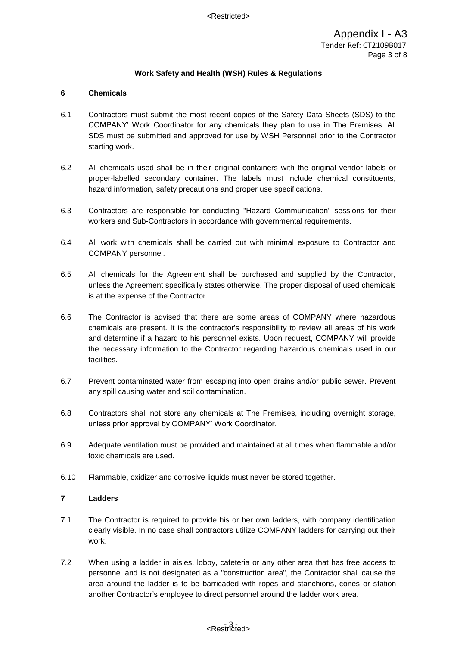## **6 Chemicals**

- 6.1 Contractors must submit the most recent copies of the Safety Data Sheets (SDS) to the COMPANY' Work Coordinator for any chemicals they plan to use in The Premises. All SDS must be submitted and approved for use by WSH Personnel prior to the Contractor starting work.
- 6.2 All chemicals used shall be in their original containers with the original vendor labels or proper-labelled secondary container. The labels must include chemical constituents, hazard information, safety precautions and proper use specifications.
- 6.3 Contractors are responsible for conducting "Hazard Communication" sessions for their workers and Sub-Contractors in accordance with governmental requirements.
- 6.4 All work with chemicals shall be carried out with minimal exposure to Contractor and COMPANY personnel.
- 6.5 All chemicals for the Agreement shall be purchased and supplied by the Contractor, unless the Agreement specifically states otherwise. The proper disposal of used chemicals is at the expense of the Contractor.
- 6.6 The Contractor is advised that there are some areas of COMPANY where hazardous chemicals are present. It is the contractor's responsibility to review all areas of his work and determine if a hazard to his personnel exists. Upon request, COMPANY will provide the necessary information to the Contractor regarding hazardous chemicals used in our facilities.
- 6.7 Prevent contaminated water from escaping into open drains and/or public sewer. Prevent any spill causing water and soil contamination.
- 6.8 Contractors shall not store any chemicals at The Premises, including overnight storage, unless prior approval by COMPANY' Work Coordinator.
- 6.9 Adequate ventilation must be provided and maintained at all times when flammable and/or toxic chemicals are used.
- 6.10 Flammable, oxidizer and corrosive liquids must never be stored together.

## **7 Ladders**

- 7.1 The Contractor is required to provide his or her own ladders, with company identification clearly visible. In no case shall contractors utilize COMPANY ladders for carrying out their work.
- 7.2 When using a ladder in aisles, lobby, cafeteria or any other area that has free access to personnel and is not designated as a "construction area", the Contractor shall cause the area around the ladder is to be barricaded with ropes and stanchions, cones or station another Contractor's employee to direct personnel around the ladder work area.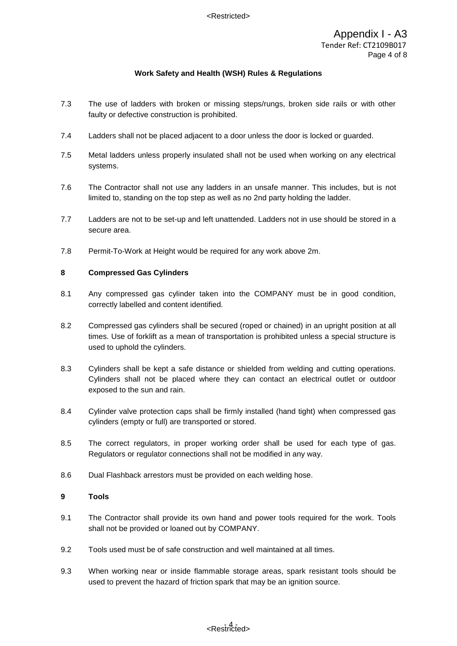- 7.3 The use of ladders with broken or missing steps/rungs, broken side rails or with other faulty or defective construction is prohibited.
- 7.4 Ladders shall not be placed adjacent to a door unless the door is locked or guarded.
- 7.5 Metal ladders unless properly insulated shall not be used when working on any electrical systems.
- 7.6 The Contractor shall not use any ladders in an unsafe manner. This includes, but is not limited to, standing on the top step as well as no 2nd party holding the ladder.
- 7.7 Ladders are not to be set-up and left unattended. Ladders not in use should be stored in a secure area.
- 7.8 Permit-To-Work at Height would be required for any work above 2m.

## **8 Compressed Gas Cylinders**

- 8.1 Any compressed gas cylinder taken into the COMPANY must be in good condition, correctly labelled and content identified.
- 8.2 Compressed gas cylinders shall be secured (roped or chained) in an upright position at all times. Use of forklift as a mean of transportation is prohibited unless a special structure is used to uphold the cylinders.
- 8.3 Cylinders shall be kept a safe distance or shielded from welding and cutting operations. Cylinders shall not be placed where they can contact an electrical outlet or outdoor exposed to the sun and rain.
- 8.4 Cylinder valve protection caps shall be firmly installed (hand tight) when compressed gas cylinders (empty or full) are transported or stored.
- 8.5 The correct regulators, in proper working order shall be used for each type of gas. Regulators or regulator connections shall not be modified in any way.
- 8.6 Dual Flashback arrestors must be provided on each welding hose.

## **9 Tools**

- 9.1 The Contractor shall provide its own hand and power tools required for the work. Tools shall not be provided or loaned out by COMPANY.
- 9.2 Tools used must be of safe construction and well maintained at all times.
- 9.3 When working near or inside flammable storage areas, spark resistant tools should be used to prevent the hazard of friction spark that may be an ignition source.

# - 4 - <Restricted>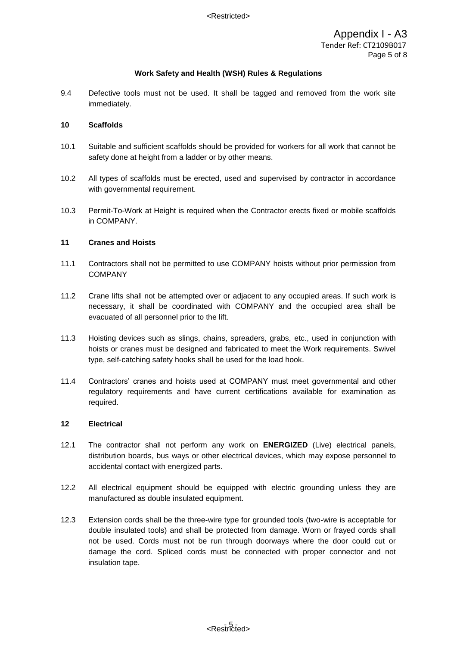9.4 Defective tools must not be used. It shall be tagged and removed from the work site immediately.

#### **10 Scaffolds**

- 10.1 Suitable and sufficient scaffolds should be provided for workers for all work that cannot be safety done at height from a ladder or by other means.
- 10.2 All types of scaffolds must be erected, used and supervised by contractor in accordance with governmental requirement.
- 10.3 Permit-To-Work at Height is required when the Contractor erects fixed or mobile scaffolds in COMPANY.

#### **11 Cranes and Hoists**

- 11.1 Contractors shall not be permitted to use COMPANY hoists without prior permission from **COMPANY**
- 11.2 Crane lifts shall not be attempted over or adjacent to any occupied areas. If such work is necessary, it shall be coordinated with COMPANY and the occupied area shall be evacuated of all personnel prior to the lift.
- 11.3 Hoisting devices such as slings, chains, spreaders, grabs, etc., used in conjunction with hoists or cranes must be designed and fabricated to meet the Work requirements. Swivel type, self-catching safety hooks shall be used for the load hook.
- 11.4 Contractors' cranes and hoists used at COMPANY must meet governmental and other regulatory requirements and have current certifications available for examination as required.

## **12 Electrical**

- 12.1 The contractor shall not perform any work on **ENERGIZED** (Live) electrical panels, distribution boards, bus ways or other electrical devices, which may expose personnel to accidental contact with energized parts.
- 12.2 All electrical equipment should be equipped with electric grounding unless they are manufactured as double insulated equipment.
- 12.3 Extension cords shall be the three-wire type for grounded tools (two-wire is acceptable for double insulated tools) and shall be protected from damage. Worn or frayed cords shall not be used. Cords must not be run through doorways where the door could cut or damage the cord. Spliced cords must be connected with proper connector and not insulation tape.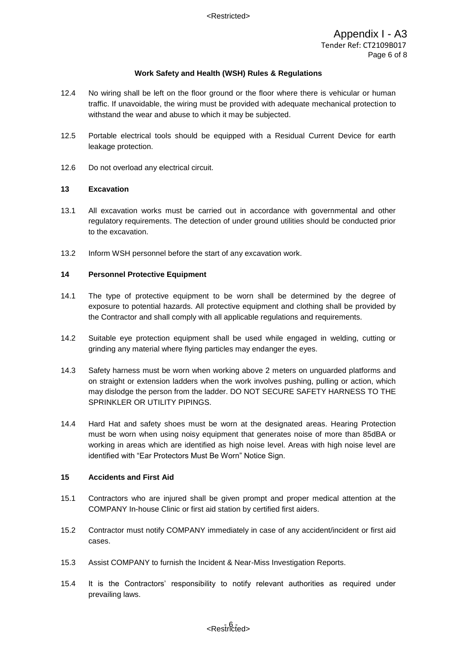- 12.4 No wiring shall be left on the floor ground or the floor where there is vehicular or human traffic. If unavoidable, the wiring must be provided with adequate mechanical protection to withstand the wear and abuse to which it may be subjected.
- 12.5 Portable electrical tools should be equipped with a Residual Current Device for earth leakage protection.
- 12.6 Do not overload any electrical circuit.

# **13 Excavation**

- 13.1 All excavation works must be carried out in accordance with governmental and other regulatory requirements. The detection of under ground utilities should be conducted prior to the excavation.
- 13.2 Inform WSH personnel before the start of any excavation work.

# **14 Personnel Protective Equipment**

- 14.1 The type of protective equipment to be worn shall be determined by the degree of exposure to potential hazards. All protective equipment and clothing shall be provided by the Contractor and shall comply with all applicable regulations and requirements.
- 14.2 Suitable eye protection equipment shall be used while engaged in welding, cutting or grinding any material where flying particles may endanger the eyes.
- 14.3 Safety harness must be worn when working above 2 meters on unguarded platforms and on straight or extension ladders when the work involves pushing, pulling or action, which may dislodge the person from the ladder. DO NOT SECURE SAFETY HARNESS TO THE SPRINKLER OR UTILITY PIPINGS.
- 14.4 Hard Hat and safety shoes must be worn at the designated areas. Hearing Protection must be worn when using noisy equipment that generates noise of more than 85dBA or working in areas which are identified as high noise level. Areas with high noise level are identified with "Ear Protectors Must Be Worn" Notice Sign.

## **15 Accidents and First Aid**

- 15.1 Contractors who are injured shall be given prompt and proper medical attention at the COMPANY In-house Clinic or first aid station by certified first aiders.
- 15.2 Contractor must notify COMPANY immediately in case of any accident/incident or first aid cases.
- 15.3 Assist COMPANY to furnish the Incident & Near-Miss Investigation Reports.
- 15.4 It is the Contractors' responsibility to notify relevant authorities as required under prevailing laws.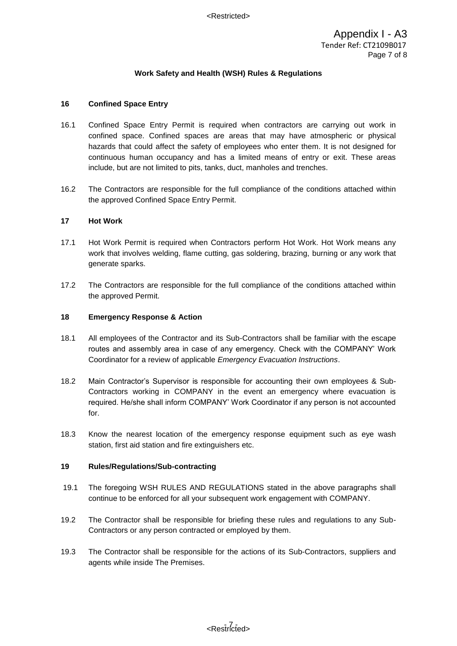## **16 Confined Space Entry**

- 16.1 Confined Space Entry Permit is required when contractors are carrying out work in confined space. Confined spaces are areas that may have atmospheric or physical hazards that could affect the safety of employees who enter them. It is not designed for continuous human occupancy and has a limited means of entry or exit. These areas include, but are not limited to pits, tanks, duct, manholes and trenches.
- 16.2 The Contractors are responsible for the full compliance of the conditions attached within the approved Confined Space Entry Permit.

#### **17 Hot Work**

- 17.1 Hot Work Permit is required when Contractors perform Hot Work. Hot Work means any work that involves welding, flame cutting, gas soldering, brazing, burning or any work that generate sparks.
- 17.2 The Contractors are responsible for the full compliance of the conditions attached within the approved Permit.

#### **18 Emergency Response & Action**

- 18.1 All employees of the Contractor and its Sub-Contractors shall be familiar with the escape routes and assembly area in case of any emergency. Check with the COMPANY' Work Coordinator for a review of applicable *Emergency Evacuation Instructions*.
- 18.2 Main Contractor's Supervisor is responsible for accounting their own employees & Sub-Contractors working in COMPANY in the event an emergency where evacuation is required. He/she shall inform COMPANY' Work Coordinator if any person is not accounted for.
- 18.3 Know the nearest location of the emergency response equipment such as eye wash station, first aid station and fire extinguishers etc.

#### **19 Rules/Regulations/Sub-contracting**

- 19.1 The foregoing WSH RULES AND REGULATIONS stated in the above paragraphs shall continue to be enforced for all your subsequent work engagement with COMPANY.
- 19.2 The Contractor shall be responsible for briefing these rules and regulations to any Sub-Contractors or any person contracted or employed by them.
- 19.3 The Contractor shall be responsible for the actions of its Sub-Contractors, suppliers and agents while inside The Premises.